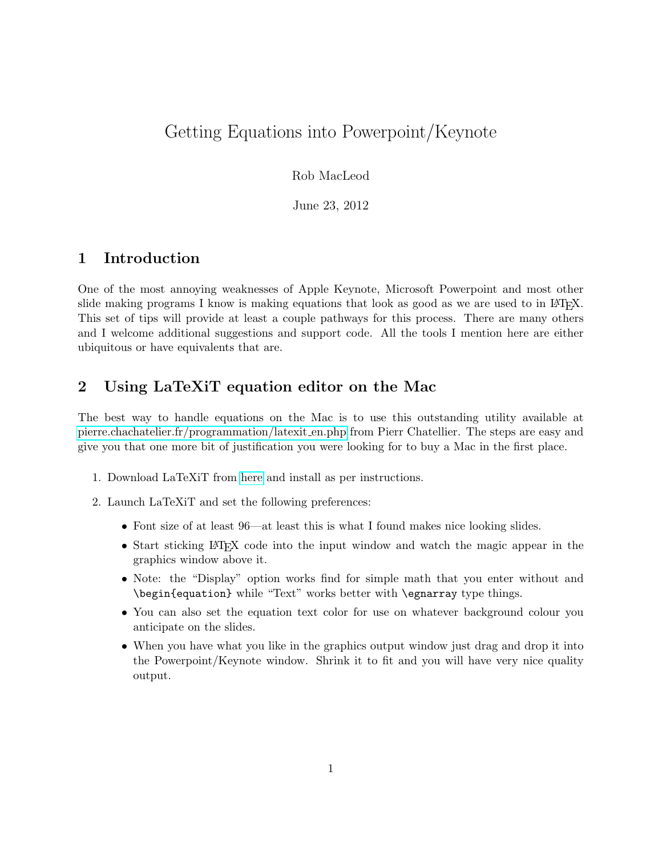# Getting Equations into Powerpoint/Keynote

Rob MacLeod

June 23, 2012

## 1 Introduction

One of the most annoying weaknesses of Apple Keynote, Microsoft Powerpoint and most other slide making programs I know is making equations that look as good as we are used to in LATEX. This set of tips will provide at least a couple pathways for this process. There are many others and I welcome additional suggestions and support code. All the tools I mention here are either ubiquitous or have equivalents that are.

## 2 Using LaTeXiT equation editor on the Mac

The best way to handle equations on the Mac is to use this outstanding utility available at [pierre.chachatelier.fr/programmation/latexit](http://pierre.chachatelier.fr/programmation/latexit_en.php) en.php from Pierr Chatellier. The steps are easy and give you that one more bit of justification you were looking for to buy a Mac in the first place.

- 1. Download LaTeXiT from [here](pierre.chachatelier.fr/programmation/latexit_en.php) and install as per instructions.
- 2. Launch LaTeXiT and set the following preferences:
	- Font size of at least 96—at least this is what I found makes nice looking slides.
	- Start sticking LATEX code into the input window and watch the magic appear in the graphics window above it.
	- Note: the "Display" option works find for simple math that you enter without and \begin{equation} while "Text" works better with \egnarray type things.
	- You can also set the equation text color for use on whatever background colour you anticipate on the slides.
	- When you have what you like in the graphics output window just drag and drop it into the Powerpoint/Keynote window. Shrink it to fit and you will have very nice quality output.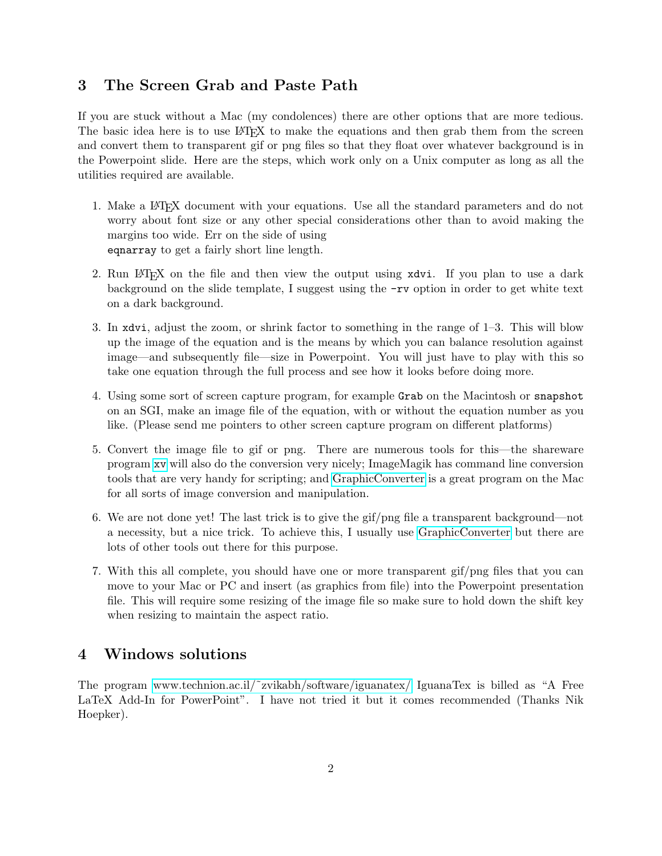#### 3 The Screen Grab and Paste Path

If you are stuck without a Mac (my condolences) there are other options that are more tedious. The basic idea here is to use LATEX to make the equations and then grab them from the screen and convert them to transparent gif or png files so that they float over whatever background is in the Powerpoint slide. Here are the steps, which work only on a Unix computer as long as all the utilities required are available.

- 1. Make a LATEX document with your equations. Use all the standard parameters and do not worry about font size or any other special considerations other than to avoid making the margins too wide. Err on the side of using eqnarray to get a fairly short line length.
- 2. Run LAT<sub>EX</sub> on the file and then view the output using xdvi. If you plan to use a dark background on the slide template, I suggest using the -rv option in order to get white text on a dark background.
- 3. In xdvi, adjust the zoom, or shrink factor to something in the range of 1–3. This will blow up the image of the equation and is the means by which you can balance resolution against image—and subsequently file—size in Powerpoint. You will just have to play with this so take one equation through the full process and see how it looks before doing more.
- 4. Using some sort of screen capture program, for example Grab on the Macintosh or snapshot on an SGI, make an image file of the equation, with or without the equation number as you like. (Please send me pointers to other screen capture program on different platforms)
- 5. Convert the image file to gif or png. There are numerous tools for this—the shareware program [xv](http://www.trilon.com/xv/) will also do the conversion very nicely; ImageMagik has command line conversion tools that are very handy for scripting; and [GraphicConverter](http://www.lemkesoft.com/) is a great program on the Mac for all sorts of image conversion and manipulation.
- 6. We are not done yet! The last trick is to give the gif/png file a transparent background—not a necessity, but a nice trick. To achieve this, I usually use [GraphicConverter](http://www.lemkesoft.com/) but there are lots of other tools out there for this purpose.
- 7. With this all complete, you should have one or more transparent gif/png files that you can move to your Mac or PC and insert (as graphics from file) into the Powerpoint presentation file. This will require some resizing of the image file so make sure to hold down the shift key when resizing to maintain the aspect ratio.

### 4 Windows solutions

The program [www.technion.ac.il/˜zvikabh/software/iguanatex/](http://www.technion.ac.il/~zvikabh/software/iguanatex) IguanaTex is billed as "A Free LaTeX Add-In for PowerPoint". I have not tried it but it comes recommended (Thanks Nik Hoepker).